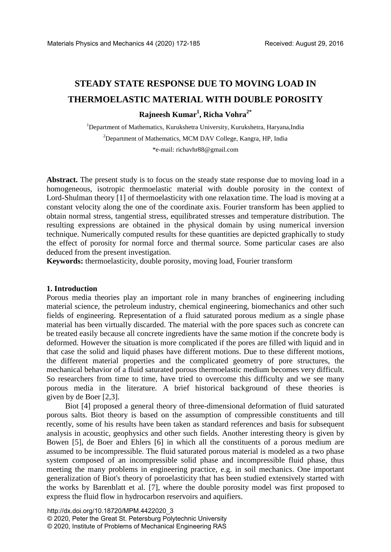# **STEADY STATE RESPONSE DUE TO MOVING LOAD IN THERMOELASTIC MATERIAL WITH DOUBLE POROSITY**

# **Rajneesh Kumar1 , Richa Vohra2\***

<sup>1</sup>Department of Mathematics, Kurukshetra University, Kurukshetra, Haryana,India <sup>2</sup>Department of Mathematics, MCM DAV College, Kangra, HP, India \*e-mail: richavhr88@gmail.com

Abstract. The present study is to focus on the steady state response due to moving load in a homogeneous, isotropic thermoelastic material with double porosity in the context of Lord-Shulman theory [1] of thermoelasticity with one relaxation time. The load is moving at a constant velocity along the one of the coordinate axis. Fourier transform has been applied to obtain normal stress, tangential stress, equilibrated stresses and temperature distribution. The resulting expressions are obtained in the physical domain by using numerical inversion technique. Numerically computed results for these quantities are depicted graphically to study the effect of porosity for normal force and thermal source. Some particular cases are also deduced from the present investigation.

**Keywords:** thermoelasticity, double porosity, moving load, Fourier transform

### **1. Introduction**

Porous media theories play an important role in many branches of engineering including material science, the petroleum industry, chemical engineering, biomechanics and other such fields of engineering. Representation of a fluid saturated porous medium as a single phase material has been virtually discarded. The material with the pore spaces such as concrete can be treated easily because all concrete ingredients have the same motion if the concrete body is deformed. However the situation is more complicated if the pores are filled with liquid and in that case the solid and liquid phases have different motions. Due to these different motions, the different material properties and the complicated geometry of pore structures, the mechanical behavior of a fluid saturated porous thermoelastic medium becomes very difficult. So researchers from time to time, have tried to overcome this difficulty and we see many porous media in the literature. A brief historical background of these theories is given by de Boer [2,3].

Biot [4] proposed a general theory of three-dimensional deformation of fluid saturated porous salts. Biot theory is based on the assumption of compressible constituents and till recently, some of his results have been taken as standard references and basis for subsequent analysis in acoustic, geophysics and other such fields. Another interesting theory is given by Bowen [5], de Boer and Ehlers [6] in which all the constituents of a porous medium are assumed to be incompressible. The fluid saturated porous material is modeled as a two phase system composed of an incompressible solid phase and incompressible fluid phase, thus meeting the many problems in engineering practice, e.g. in soil mechanics. One important generalization of Biot's theory of poroelasticity that has been studied extensively started with the works by Barenblatt et al. [7], where the double porosity model was first proposed to express the fluid flow in hydrocarbon reservoirs and aquifiers.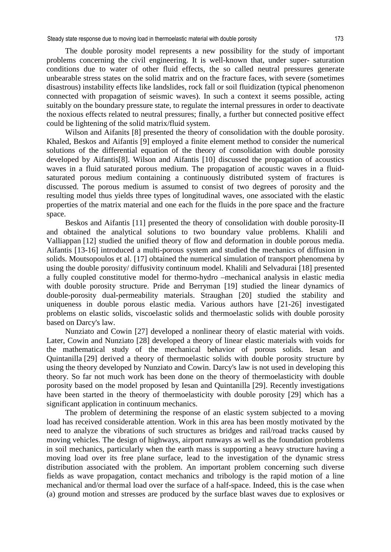Steady state response due to moving load in thermoelastic material with double porosity 173

The double porosity model represents a new possibility for the study of important problems concerning the civil engineering. It is well-known that, under super- saturation conditions due to water of other fluid effects, the so called neutral pressures generate unbearable stress states on the solid matrix and on the fracture faces, with severe (sometimes disastrous) instability effects like landslides, rock fall or soil fluidization (typical phenomenon connected with propagation of seismic waves). In such a context it seems possible, acting suitably on the boundary pressure state, to regulate the internal pressures in order to deactivate the noxious effects related to neutral pressures; finally, a further but connected positive effect could be lightening of the solid matrix/fluid system.

Wilson and Aifanits [8] presented the theory of consolidation with the double porosity. Khaled, Beskos and Aifantis [9] employed a finite element method to consider the numerical solutions of the differential equation of the theory of consolidation with double porosity developed by Aifantis[8]. Wilson and Aifantis [10] discussed the propagation of acoustics waves in a fluid saturated porous medium. The propagation of acoustic waves in a fluidsaturated porous medium containing a continuously distributed system of fractures is discussed. The porous medium is assumed to consist of two degrees of porosity and the resulting model thus yields three types of longitudinal waves, one associated with the elastic properties of the matrix material and one each for the fluids in the pore space and the fracture space.

Beskos and Aifantis [11] presented the theory of consolidation with double porosity-II and obtained the analytical solutions to two boundary value problems. Khalili and Valliappan [12] studied the unified theory of flow and deformation in double porous media. Aifantis [13-16] introduced a multi-porous system and studied the mechanics of diffusion in solids. Moutsopoulos et al. [17] obtained the numerical simulation of transport phenomena by using the double porosity/ diffusivity continuum model. Khalili and Selvadurai [18] presented a fully coupled constitutive model for thermo-hydro –mechanical analysis in elastic media with double porosity structure. Pride and Berryman [19] studied the linear dynamics of double-porosity dual-permeability materials. Straughan [20] studied the stability and uniqueness in double porous elastic media. Various authors have [21-26] investigated problems on elastic solids, viscoelastic solids and thermoelastic solids with double porosity based on Darcy's law.

Nunziato and Cowin [27] developed a nonlinear theory of elastic material with voids. Later, Cowin and Nunziato [28] developed a theory of linear elastic materials with voids for the mathematical study of the mechanical behavior of porous solids. Iesan and Quintanilla [29] derived a theory of thermoelastic solids with double porosity structure by using the theory developed by Nunziato and Cowin. Darcy's law is not used in developing this theory. So far not much work has been done on the theory of thermoelasticity with double porosity based on the model proposed by Iesan and Quintanilla [29]. Recently investigations have been started in the theory of thermoelasticity with double porosity [29] which has a significant application in continuum mechanics.

The problem of determining the response of an elastic system subjected to a moving load has received considerable attention. Work in this area has been mostly motivated by the need to analyze the vibrations of such structures as bridges and rail/road tracks caused by moving vehicles. The design of highways, airport runways as well as the foundation problems in soil mechanics, particularly when the earth mass is supporting a heavy structure having a moving load over its free plane surface, lead to the investigation of the dynamic stress distribution associated with the problem. An important problem concerning such diverse fields as wave propagation, contact mechanics and tribology is the rapid motion of a line mechanical and/or thermal load over the surface of a half-space. Indeed, this is the case when (a) ground motion and stresses are produced by the surface blast waves due to explosives or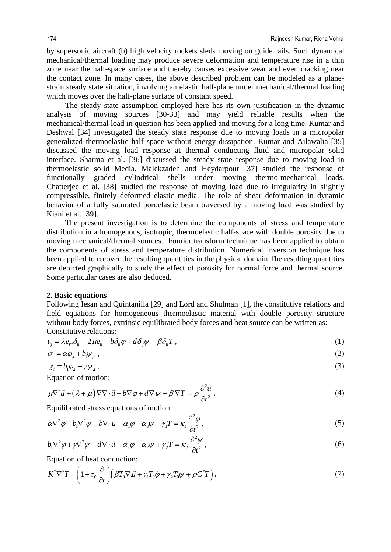by supersonic aircraft (b) high velocity rockets sleds moving on guide rails. Such dynamical mechanical/thermal loading may produce severe deformation and temperature rise in a thin zone near the half-space surface and thereby causes excessive wear and even cracking near the contact zone. In many cases, the above described problem can be modeled as a planestrain steady state situation, involving an elastic half-plane under mechanical/thermal loading which moves over the half-plane surface of constant speed.

The steady state assumption employed here has its own justification in the dynamic analysis of moving sources [30-33] and may yield reliable results when the mechanical/thermal load in question has been applied and moving for a long time. Kumar and Deshwal [34] investigated the steady state response due to moving loads in a micropolar generalized thermoelastic half space without energy dissipation. Kumar and Ailawalia [35] discussed the moving load response at thermal conducting fluid and micropolar solid interface. Sharma et al. [36] discussed the steady state response due to moving load in thermoelastic solid Media. Malekzadeh and Heydarpour [37] studied the response of functionally graded cylindrical shells under moving thermo-mechanical loads. Chatterjee et al. [38] studied the response of moving load due to irregularity in slightly compressible, finitely deformed elastic media. The role of shear deformation in dynamic behavior of a fully saturated poroelastic beam traversed by a moving load was studied by Kiani et al. [39].

The present investigation is to determine the components of stress and temperature distribution in a homogenous, isotropic, thermoelastic half-space with double porosity due to moving mechanical/thermal sources. Fourier transform technique has been applied to obtain the components of stress and temperature distribution. Numerical inversion technique has been applied to recover the resulting quantities in the physical domain.The resulting quantities are depicted graphically to study the effect of porosity for normal force and thermal source. Some particular cases are also deduced.

### **2. Basic equations**

Following Iesan and Quintanilla [29] and Lord and Shulman [1], the constitutive relations and field equations for homogeneous thermoelastic material with double porosity structure without body forces, extrinsic equilibrated body forces and heat source can be written as: Constitutive relations:

$$
t_{ij} = \lambda e_{rr} \delta_{ij} + 2\mu e_{ij} + b\delta_{ij}\varphi + d\delta_{ij}\psi - \beta \delta_{ij}T,
$$
\n(1)

$$
\sigma_i = \alpha \varphi_{i} + b_1 \psi_{i} \tag{2}
$$

$$
\chi_i = b_i \varphi_{i} + \gamma \psi_{i}, \qquad (3)
$$

Equation of motion:

$$
\mu \nabla^2 \vec{u} + (\lambda + \mu) \nabla \nabla \cdot \vec{u} + b \nabla \varphi + d \nabla \psi - \beta \nabla T = \rho \frac{\partial^2 u}{\partial t^2},
$$
\n(4)

Equilibrated stress equations of motion:

$$
\alpha \nabla^2 \varphi + b_1 \nabla^2 \psi - b \nabla \cdot \vec{u} - \alpha_1 \varphi - \alpha_3 \psi + \gamma_1 T = \kappa_1 \frac{\partial^2 \varphi}{\partial t^2},
$$
\n<sup>(5)</sup>

$$
b_1 \nabla^2 \varphi + \gamma \nabla^2 \psi - d \nabla \cdot \vec{u} - \alpha_3 \varphi - \alpha_2 \psi + \gamma_2 T = \kappa_2 \frac{\partial^2 \psi}{\partial t^2},
$$
\n<sup>(6)</sup>

Equation of heat conduction:

$$
K^*\nabla^2 T = \left(1 + \tau_0 \frac{\partial}{\partial t}\right) \left(\beta T_0 \nabla \dot{x} + \gamma_1 T_0 \dot{\phi} + \gamma_2 T_0 \psi + \rho C^* \dot{T}\right),\tag{7}
$$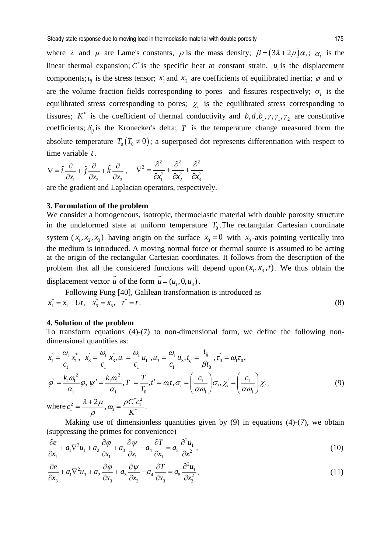where  $\lambda$  and  $\mu$  are Lame's constants,  $\rho$  is the mass density;  $\beta = (3\lambda + 2\mu)\alpha_t$ ;  $\alpha_t$  is the linear thermal expansion;  $C^*$  is the specific heat at constant strain,  $u_i$  is the displacement components;  $t_{ij}$  is the stress tensor;  $\kappa_1$  and  $\kappa_2$  are coefficients of equilibrated inertia;  $\varphi$  and  $\psi$ are the volume fraction fields corresponding to pores and fissures respectively;  $\sigma_i$  is the equilibrated stress corresponding to pores;  $\chi$ <sup>i</sup> is the equilibrated stress corresponding to fissures;  $K^*$  is the coefficient of thermal conductivity and  $b, d, b_1, \gamma, \gamma_1, \gamma_2$  are constitutive coefficients;  $\delta_{ij}$  is the Kronecker's delta; *T* is the temperature change measured form the absolute temperature  $T_0(T_0 \neq 0)$ ; a superposed dot represents differentiation with respect to time variable *t* .

$$
\nabla = \hat{i} \frac{\partial}{\partial x_1} + \hat{j} \frac{\partial}{\partial x_2} + \hat{k} \frac{\partial}{\partial x_3}, \qquad \nabla^2 = \frac{\partial^2}{\partial x_1^2} + \frac{\partial^2}{\partial x_2^2} + \frac{\partial^2}{\partial x_3^2}
$$

are the gradient and Laplacian operators, respectively.

# **3. Formulation of the problem**

We consider a homogeneous, isotropic, thermoelastic material with double porosity structure in the undeformed state at uniform temperature  $T_0$ . The rectangular Cartesian coordinate system  $(x_1, x_2, x_3)$  having origin on the surface  $x_3 = 0$  with  $x_3$ -axis pointing vertically into the medium is introduced. A moving normal force or thermal source is assumed to be acting at the origin of the rectangular Cartesian coordinates. It follows from the description of the problem that all the considered functions will depend upon  $(x_1, x_3, t)$ . We thus obtain the  $\vec{u}$  of the form  $\vec{u} = (u_1, 0, u_3)$ .

displacement vector *u*

Following Fung [40], Galilean transformation is introduced as  

$$
x_1^* = x_1 + Ut
$$
,  $x_3^* = x_3$ ,  $t^* = t$ . (8)

# **4. Solution of the problem**

To transform equations (4)-(7) to non-dimensional form, we define the following nondimensional quantities as:

$$
x_{1} = \frac{\omega_{1}}{c_{1}} x_{1}^{*}, \quad x_{3} = \frac{\omega_{1}}{c_{1}} x_{3}^{*}, u_{1} = \frac{\omega_{1}}{c_{1}} u_{1}, u_{3} = \frac{\omega_{1}}{c_{1}} u_{3}, t_{ij} = \frac{t_{ij}}{\beta t_{0}}, \tau_{0} = \omega_{1} \tau_{0},
$$
\n
$$
\varphi = \frac{k_{1} \omega_{1}^{2}}{\alpha_{1}} \varphi, \quad \psi' = \frac{k_{1} \omega_{1}^{2}}{\alpha_{1}}, \quad T' = \frac{T}{T_{0}}, \quad t' = \omega_{1} t, \quad \sigma_{i} = \left(\frac{c_{1}}{\alpha \omega_{1}}\right) \sigma_{i}, \quad \chi_{i} = \left(\frac{c_{1}}{\alpha \omega_{1}}\right) \chi_{i},
$$
\n
$$
\text{where } c_{1}^{2} = \frac{\lambda + 2\mu}{\rho}, \quad \omega_{1} = \frac{\rho C^{*} c_{1}^{2}}{K^{*}}.
$$
\n
$$
(9)
$$

Making use of dimensionless quantities given by  $(9)$  in equations  $(4)-(7)$ , we obtain (suppressing the primes for convenience)

$$
\frac{\partial e}{\partial x_1} + a_1 \nabla^2 u_1 + a_2 \frac{\partial \varphi}{\partial x_1} + a_3 \frac{\partial \psi}{\partial x_1} - a_4 \frac{\partial T}{\partial x_1} = a_5 \frac{\partial^2 u_1}{\partial x_1^2},
$$
\n(10)

$$
\frac{\partial e}{\partial x_3} + a_1 \nabla^2 u_3 + a_2 \frac{\partial \varphi}{\partial x_3} + a_3 \frac{\partial \psi}{\partial x_3} - a_4 \frac{\partial T}{\partial x_3} = a_5 \frac{\partial^2 u_1}{\partial x_3^2},
$$
\n(11)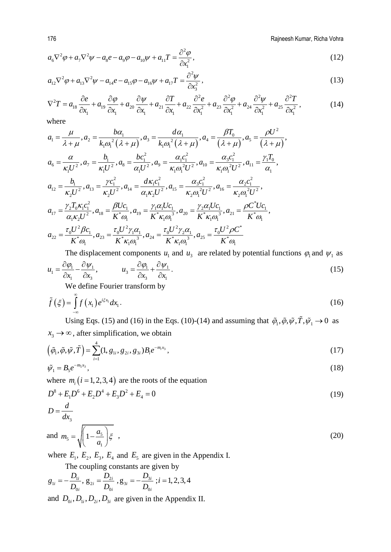176 Rajneesh Kumar, Richa Vohra

$$
a_6 \nabla^2 \varphi + a_7 \nabla^2 \psi - a_8 e - a_9 \varphi - a_{10} \psi + a_{11} T = \frac{\partial^2 \varphi}{\partial x_1^2},
$$
\n(12)

$$
a_{12}\nabla^2\varphi + a_{13}\nabla^2\psi - a_{14}e - a_{15}\varphi - a_{16}\psi + a_{17}T = \frac{\partial^2\psi}{\partial x_3^2},
$$
\n(13)

$$
\nabla^2 T = a_{18} \frac{\partial e}{\partial x_1} + a_{19} \frac{\partial \varphi}{\partial x_1} + a_{20} \frac{\partial \psi}{\partial x_1} + a_{21} \frac{\partial T}{\partial x_1} + a_{22} \frac{\partial^2 e}{\partial x_1^2} + a_{23} \frac{\partial^2 \varphi}{\partial x_1^2} + a_{24} \frac{\partial^2 \psi}{\partial x_1^2} + a_{25} \frac{\partial^2 T}{\partial x_1^2},
$$
(14)

where

$$
a_{1} = \frac{\mu}{\lambda + \mu}, a_{2} = \frac{b\alpha_{1}}{k_{1}\omega_{1}^{2}(\lambda + \mu)}, a_{3} = \frac{d\alpha_{1}}{k_{1}\omega_{1}^{2}(\lambda + \mu)}, a_{4} = \frac{\beta T_{0}}{(\lambda + \mu)}, a_{5} = \frac{\rho U^{2}}{(\lambda + \mu)},
$$
  
\n
$$
a_{6} = \frac{\alpha}{\kappa_{1}U^{2}}, a_{7} = \frac{b_{1}}{\kappa_{1}U^{2}}, a_{8} = \frac{bc_{1}^{2}}{\alpha_{1}U^{2}}, a_{9} = \frac{\alpha_{1}c_{1}^{2}}{\kappa_{1}\omega_{1}^{2}U^{2}}, a_{10} = \frac{\alpha_{3}c_{1}^{2}}{\kappa_{1}\omega_{1}^{2}U^{2}}, a_{11} = \frac{\gamma_{1}T_{0}}{\alpha_{1}},
$$
  
\n
$$
a_{12} = \frac{b_{1}}{\kappa_{2}U^{2}}, a_{13} = \frac{\gamma c_{1}^{2}}{\kappa_{2}U^{2}}, a_{14} = \frac{d\kappa_{1}c_{1}^{2}}{\alpha_{1}\kappa_{2}U^{2}}, a_{15} = \frac{\alpha_{3}c_{1}^{2}}{\kappa_{2}\omega_{1}^{2}U^{2}}, a_{16} = \frac{\alpha_{2}c_{1}^{2}}{\kappa_{2}\omega_{1}^{2}U^{2}},
$$
  
\n
$$
a_{17} = \frac{\gamma_{2}T_{0}\kappa_{1}c_{1}^{2}}{\alpha_{1}\kappa_{2}U^{2}}, a_{18} = \frac{\beta Uc_{1}}{K^{*}\omega_{1}}, a_{19} = \frac{\gamma_{1}\alpha_{1}Uc_{1}}{\kappa^{*}\kappa_{1}\omega_{1}^{3}}, a_{20} = \frac{\gamma_{2}\alpha_{1}Uc_{1}}{\kappa^{*}\kappa_{1}\omega_{1}^{3}}, a_{21} = \frac{\rho C^{*}Uc_{1}}{\kappa^{*}\omega_{1}},
$$
  
\n
$$
a_{22} = \frac{\tau_{0}U^{2}\beta c_{1}}{\kappa^{*}\omega_{1}}, a_{23} = \frac{\tau_{0}U^{2}\gamma_{1}\alpha_{1}}{\kappa^{*}\kappa_{1}\omega_{1}^{3}}, a_{24} = \frac{\tau_{0}U^{2}\gamma
$$

The displacement components  $u_1$  and  $u_3$  are related by potential functions  $\varphi_1$  and  $\psi_1$  as

$$
u_1 = \frac{\partial \varphi_1}{\partial x_1} - \frac{\partial \psi_1}{\partial x_3}, \qquad u_3 = \frac{\partial \varphi_1}{\partial x_3} + \frac{\partial \psi_1}{\partial x_1}.
$$
  
We define Fourier transform by

We define Fourier transform by

$$
\tilde{f}(\xi) = \int_{-\infty}^{\infty} f(x_1) e^{i\xi x_1} dx_1.
$$
\n(16)

Using Eqs. (15) and (16) in the Eqs. (10)-(14) and assuming that  $\tilde{\varphi}_1, \tilde{\varphi}, \tilde{\psi}, \tilde{T}, \tilde{\psi}_1 \rightarrow 0$  as  $x_3 \rightarrow \infty$ , after simplification, we obtain

$$
\left(\tilde{\varphi}_1, \tilde{\varphi}, \tilde{\psi}, \tilde{T}\right) = \sum_{i=1}^4 (1, g_{1i}, g_{2i}, g_{3i}) B_i e^{-m_i x_3},\tag{17}
$$

$$
\tilde{\psi}_1 = B_5 e^{-m_5 x_3},\tag{18}
$$

where  $m_i$  ( $i = 1, 2, 3, 4$ ) are the roots of the equation

$$
D^8 + E_1 D^6 + E_2 D^4 + E_3 D^2 + E_4 = 0
$$
  
\n
$$
D = \frac{d}{dx_3}
$$
\n(19)

and 
$$
m_5 = \sqrt{\left(1 - \frac{a_5}{a_1}\right)} \xi
$$
, (20)

where  $E_1$ ,  $E_2$ ,  $E_3$ ,  $E_4$  and  $E_5$  are given in the Appendix I.

The coupling constants are given by

$$
g_{1i} = -\frac{D_{1i}}{D_{0i}}, g_{2i} = \frac{D_{2i}}{D_{0i}}, g_{3i} = -\frac{D_{3i}}{D_{0i}}; i = 1, 2, 3, 4
$$

and  $D_{0i}$ ,  $D_{1i}$ ,  $D_{2i}$ ,  $D_{3i}$  are given in the Appendix II.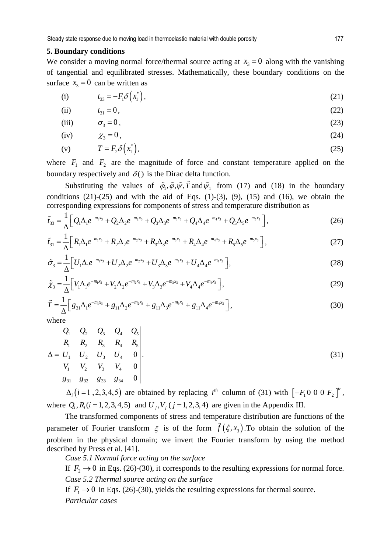# **5. Boundary conditions**

We consider a moving normal force/thermal source acting at  $x<sub>3</sub> = 0$  along with the vanishing of tangential and equilibrated stresses. Mathematically, these boundary conditions on the surface  $x_3 = 0$  can be written as

(i) 
$$
t_{33} = -F_1 \delta(x_1^*)
$$
, (21)

(ii) 
$$
t_{31} = 0,
$$
 (22)

(iii) 
$$
\sigma_3 = 0, \tag{23}
$$

$$
(iv) \t\t\t \chi_3 = 0, \t\t (24)
$$

$$
(v) \tT = F_2 \delta \left( x_1^* \right), \t(25)
$$

where  $F_1$  and  $F_2$  are the magnitude of force and constant temperature applied on the boundary respectively and  $\delta()$  is the Dirac delta function.

Substituting the values of  $\tilde{\varphi}_1, \tilde{\varphi}, \tilde{\psi}, \tilde{T}$  and  $\tilde{\psi}_1$  from (17) and (18) in the boundary conditions  $(21)-(25)$  and with the aid of Eqs.  $(1)-(3)$ ,  $(9)$ ,  $(15)$  and  $(16)$ , we obtain the corresponding expressions for components of stress and temperature distribution as

$$
\tilde{t}_{33} = \frac{1}{\Delta} \Big[ Q_1 \Delta_1 e^{-m_1 x_3} + Q_2 \Delta_2 e^{-m_2 x_3} + Q_3 \Delta_3 e^{-m_3 x_3} + Q_4 \Delta_4 e^{-m_4 x_3} + Q_5 \Delta_5 e^{-m_5 x_3} \Big],
$$
\n(26)

$$
\tilde{t}_{31} = \frac{1}{\Delta} \Big[ R_1 \Delta_1 e^{-m_1 x_3} + R_2 \Delta_2 e^{-m_2 x_3} + R_3 \Delta_3 e^{-m_3 x_3} + R_4 \Delta_4 e^{-m_4 x_3} + R_5 \Delta_5 e^{-m_5 x_3} \Big],
$$
\n(27)

$$
\tilde{\sigma}_3 = \frac{1}{\Delta} \Big[ U_1 \Delta_1 e^{-m_1 x_3} + U_2 \Delta_2 e^{-m_2 x_3} + U_3 \Delta_3 e^{-m_3 x_3} + U_4 \Delta_4 e^{-m_4 x_3} \Big],\tag{28}
$$

$$
\tilde{\chi}_3 = \frac{1}{\Delta} \Big[ V_1 \Delta_1 e^{-m_1 x_3} + V_2 \Delta_2 e^{-m_2 x_3} + V_3 \Delta_3 e^{-m_3 x_3} + V_4 \Delta_4 e^{-m_4 x_3} \Big],
$$
\n(29)

$$
\tilde{T} = \frac{1}{\Delta} \Big[ g_{31} \Delta_1 e^{-m_1 x_3} + g_{11} \Delta_2 e^{-m_2 x_3} + g_{11} \Delta_3 e^{-m_3 x_3} + g_{11} \Delta_4 e^{-m_4 x_3} \Big],
$$
\n(30)

where

$$
\Delta = \begin{vmatrix} Q_1 & Q_2 & Q_3 & Q_4 & Q_5 \\ R_1 & R_2 & R_3 & R_4 & R_5 \\ U_1 & U_2 & U_3 & U_4 & 0 \\ V_1 & V_2 & V_3 & V_4 & 0 \\ g_{31} & g_{32} & g_{33} & g_{34} & 0 \end{vmatrix}.
$$
 (31)

 $\Delta_i$  (*i* = 1, 2, 3, 4, 5) are obtained by replacing *i*<sup>th</sup> column of (31) with  $[-F_1 0 0 0 F_2]^r$ , where  $Q_i$ ,  $R_i$  ( $i = 1, 2, 3, 4, 5$ ) and  $U_i$ ,  $V_i$  ( $j = 1, 2, 3, 4$ ) are given in the Appendix III.

The transformed components of stress and temperature distribution are functions of the parameter of Fourier transform  $\xi$  is of the form  $\tilde{f}(\xi, x, )$ . To obtain the solution of the problem in the physical domain; we invert the Fourier transform by using the method described by Press et al. [41].

*Case 5.1 Normal force acting on the surface* 

If  $F_2 \rightarrow 0$  in Eqs. (26)-(30), it corresponds to the resulting expressions for normal force. *Case 5.2 Thermal source acting on the surface* 

If  $F_1 \rightarrow 0$  in Eqs. (26)-(30), yields the resulting expressions for thermal source. *Particular cases*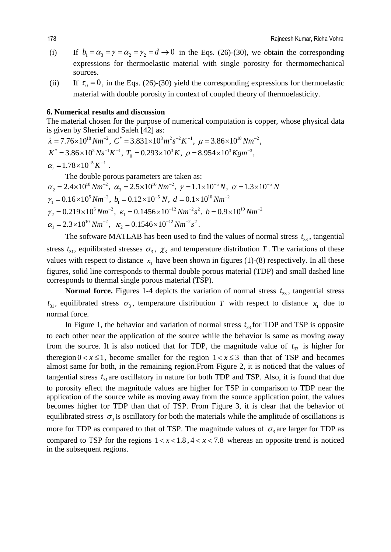- (i) If  $b_1 = \alpha_3 = \gamma = \alpha_2 = \gamma_2 = d \rightarrow 0$  in the Eqs. (26)-(30), we obtain the corresponding expressions for thermoelastic material with single porosity for thermomechanical sources.
- (ii) If  $\tau_0 = 0$ , in the Eqs. (26)-(30) yield the corresponding expressions for thermoelastic material with double porosity in context of coupled theory of thermoelasticity.

# **6. Numerical results and discussion**

The material chosen for the purpose of numerical computation is copper, whose physical data is given by Sherief and Saleh [42] as:

 $\lambda = 7.76 \times 10^{10} Nm^{-2}$ ,  $C^* = 3.831 \times 10^3 m^2 s^{-2} K^{-1}$ ,  $\mu = 3.86 \times 10^{10} Nm^{-2}$ ,  $K^* = 3.86 \times 10^3 N s^{-1} K^{-1}$ ,  $T_0 = 0.293 \times 10^3 K$ ,  $\rho = 8.954 \times 10^3 K g m^{-3}$ ,  $\alpha_{.} = 1.78 \times 10^{-5} K^{-1}$ . The double porous parameters are taken as:

 $\alpha_2 = 2.4 \times 10^{10} Nm^{-2}$ ,  $\alpha_3 = 2.5 \times 10^{10} Nm^{-2}$ ,  $\gamma = 1.1 \times 10^{-5} N$ ,  $\alpha = 1.3 \times 10^{-5} N$  $\gamma_1 = 0.16 \times 10^5 Nm^{-2}$ ,  $b_1 = 0.12 \times 10^{-5} N$ ,  $d = 0.1 \times 10^{10} Nm^{-2}$  $\gamma_2 = 0.219 \times 10^5 Nm^{-2}$ ,  $\kappa_1 = 0.1456 \times 10^{-12} Nm^{-2} s^2$ ,  $b = 0.9 \times 10^{10} Nm^{-2}$ 

 $\alpha_1 = 2.3 \times 10^{10} \text{ Nm}^{-2}, \quad \kappa_2 = 0.1546 \times 10^{-12} \text{ Nm}^{-2} s^2.$ 

The software MATLAB has been used to find the values of normal stress  $t_{33}$ , tangential stress  $t_{31}$ , equilibrated stresses  $\sigma_3$ ,  $\chi_3$  and temperature distribution *T*. The variations of these values with respect to distance  $x_1$  have been shown in figures (1)-(8) respectively. In all these figures, solid line corresponds to thermal double porous material (TDP) and small dashed line corresponds to thermal single porous material (TSP).

**Normal force.** Figures 1-4 depicts the variation of normal stress  $t_{33}$ , tangential stress  $t_{31}$ , equilibrated stress  $\sigma_3$ , temperature distribution *T* with respect to distance  $x_1$  due to normal force.

In Figure 1, the behavior and variation of normal stress  $t_{33}$  for TDP and TSP is opposite to each other near the application of the source while the behavior is same as moving away from the source. It is also noticed that for TDP, the magnitude value of  $t_{33}$  is higher for theregion  $0 < x \le 1$ , become smaller for the region  $1 < x \le 3$  than that of TSP and becomes almost same for both, in the remaining region.From Figure 2, it is noticed that the values of tangential stress  $t_{31}$  are oscillatory in nature for both TDP and TSP. Also, it is found that due to porosity effect the magnitude values are higher for TSP in comparison to TDP near the application of the source while as moving away from the source application point, the values becomes higher for TDP than that of TSP. From Figure 3, it is clear that the behavior of equilibrated stress  $\sigma_3$  is oscillatory for both the materials while the amplitude of oscillations is more for TDP as compared to that of TSP. The magnitude values of  $\sigma_3$  are larger for TDP as compared to TSP for the regions  $1 < x < 1.8$ ,  $4 < x < 7.8$  whereas an opposite trend is noticed in the subsequent regions.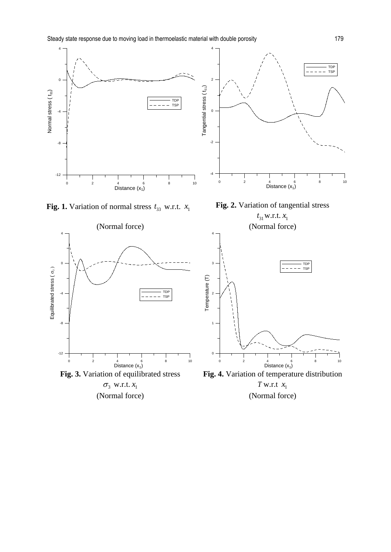

**Fig. 1.** Variation of normal stress  $t_{33}$  w.r.t.  $x_1$  **Fig. 2.** Variation of tangential stress

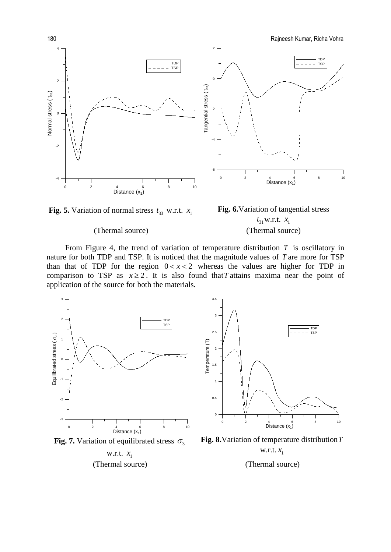180 Rajneesh Kumar, Richa Vohra





From Figure 4, the trend of variation of temperature distribution *T* is oscillatory in nature for both TDP and TSP. It is noticed that the magnitude values of *T* are more for TSP than that of TDP for the region  $0 < x < 2$  whereas the values are higher for TDP in comparison to TSP as  $x \ge 2$ . It is also found that T attains maxima near the point of application of the source for both the materials.



w.r.t.  $x_1$ 

**Fig. 8.**Variation of temperature distribution*T* w.r.t.  $x_1$ 

# (Thermal source) (Thermal source)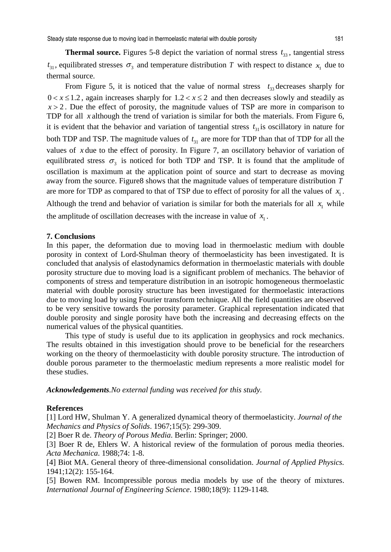**Thermal source.** Figures 5-8 depict the variation of normal stress  $t_{33}$ , tangential stress  $t_{31}$ , equilibrated stresses  $\sigma_3$  and temperature distribution *T* with respect to distance  $x_1$  due to thermal source.

From Figure 5, it is noticed that the value of normal stress  $t_{33}$  decreases sharply for  $0 < x \le 1.2$ , again increases sharply for  $1.2 < x \le 2$  and then decreases slowly and steadily as  $x > 2$ . Due the effect of porosity, the magnitude values of TSP are more in comparison to TDP for all *x* although the trend of variation is similar for both the materials. From Figure 6, it is evident that the behavior and variation of tangential stress  $t_{31}$  is oscillatory in nature for both TDP and TSP. The magnitude values of  $t_{31}$  are more for TDP than that of TDP for all the values of *x* due to the effect of porosity. In Figure 7, an oscillatory behavior of variation of equilibrated stress  $\sigma_3$  is noticed for both TDP and TSP. It is found that the amplitude of oscillation is maximum at the application point of source and start to decrease as moving away from the source. Figure8 shows that the magnitude values of temperature distribution *T* are more for TDP as compared to that of TSP due to effect of porosity for all the values of  $x_1$ . Although the trend and behavior of variation is similar for both the materials for all  $x_1$  while the amplitude of oscillation decreases with the increase in value of  $x_1$ .

# **7. Conclusions**

In this paper, the deformation due to moving load in thermoelastic medium with double porosity in context of Lord-Shulman theory of thermoelasticity has been investigated. It is concluded that analysis of elastodynamics deformation in thermoelastic materials with double porosity structure due to moving load is a significant problem of mechanics. The behavior of components of stress and temperature distribution in an isotropic homogeneous thermoelastic material with double porosity structure has been investigated for thermoelastic interactions due to moving load by using Fourier transform technique. All the field quantities are observed to be very sensitive towards the porosity parameter. Graphical representation indicated that double porosity and single porosity have both the increasing and decreasing effects on the numerical values of the physical quantities.

This type of study is useful due to its application in geophysics and rock mechanics. The results obtained in this investigation should prove to be beneficial for the researchers working on the theory of thermoelasticity with double porosity structure. The introduction of double porous parameter to the thermoelastic medium represents a more realistic model for these studies.

*Acknowledgements.No external funding was received for this study.* 

# **References**

[1] Lord HW, Shulman Y. A generalized dynamical theory of thermoelasticity. *Journal of the Mechanics and Physics of Solids*. 1967;15(5): 299-309.

[2] Boer R de. *Theory of Porous Media*. Berlin: Springer; 2000.

[3] Boer R de, Ehlers W. A historical review of the formulation of porous media theories. *Acta Mechanica*. 1988;74: 1-8.

[4] Biot MA. General theory of three-dimensional consolidation. *Journal of Applied Physics.* 1941;12(2): 155-164.

[5] Bowen RM. Incompressible porous media models by use of the theory of mixtures. *International Journal of Engineering Science*. 1980;18(9): 1129-1148.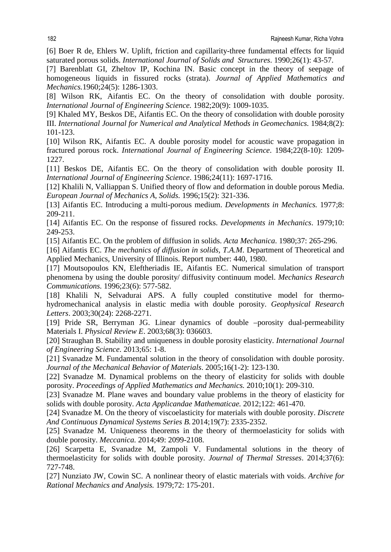[6] Boer R de, Ehlers W. Uplift, friction and capillarity-three fundamental effects for liquid saturated porous solids. *International Journal of Solids and Structures*. 1990;26(1): 43-57.

[7] Barenblatt GI, Zheltov IP, Kochina IN. Basic concept in the theory of seepage of homogeneous liquids in fissured rocks (strata). *Journal of Applied Mathematics and Mechanics.*1960;24(5): 1286-1303.

[8] Wilson RK, Aifantis EC. On the theory of consolidation with double porosity. *International Journal of Engineering Science.* 1982;20(9): 1009-1035.

[9] Khaled MY, Beskos DE, Aifantis EC. On the theory of consolidation with double porosity III. *International Journal for Numerical and Analytical Methods in Geomechanics.* 1984;8(2): 101-123.

[10] Wilson RK, Aifantis EC. A double porosity model for acoustic wave propagation in fractured porous rock. *International Journal of Engineering Science*. 1984;22(8-10): 1209- 1227.

[11] Beskos DE, Aifantis EC. On the theory of consolidation with double porosity II. *International Journal of Engineering Science*. 1986;24(11): 1697-1716.

[12] Khalili N, Valliappan S. Unified theory of flow and deformation in double porous Media. *European Journal of Mechanics A, Solids.* 1996;15(2): 321-336.

[13] Aifantis EC. Introducing a multi-porous medium. *Developments in Mechanics.* 1977;8: 209-211.

[14] Aifantis EC. On the response of fissured rocks. *Developments in Mechanics*. 1979;10: 249-253.

[15] Aifantis EC. On the problem of diffusion in solids. *Acta Mechanica*. 1980;37: 265-296.

[16] Aifantis EC. *The mechanics of diffusion in solids, T.A.M*. Department of Theoretical and Applied Mechanics, University of Illinois. Report number: 440, 1980.

[17] Moutsopoulos KN, Eleftheriadis IE, Aifantis EC. Numerical simulation of transport phenomena by using the double porosity/ diffusivity continuum model. *Mechanics Research Communications.* 1996;23(6): 577-582.

[18] Khalili N, Selvadurai APS. A fully coupled constitutive model for thermohydromechanical analysis in elastic media with double porosity. *Geophysical Research Letters*. 2003;30(24): 2268-2271.

[19] Pride SR, Berryman JG. Linear dynamics of double –porosity dual-permeability Materials I. *Physical Review E*. 2003;68(3): 036603.

[20] Straughan B. Stability and uniqueness in double porosity elasticity. *International Journal of Engineering Science*. 2013;65: 1-8.

[21] Svanadze M. Fundamental solution in the theory of consolidation with double porosity. *Journal of the Mechanical Behavior of Materials*. 2005;16(1-2): 123-130.

[22] Svanadze M. Dynamical problems on the theory of elasticity for solids with double porosity. *Proceedings of Applied Mathematics and Mechanics.* 2010;10(1): 209-310.

[23] Svanadze M. Plane waves and boundary value problems in the theory of elasticity for solids with double porosity. *[Acta Applicandae Mathematicae.](https://www.researchgate.net/journal/0167-8019_Acta_Applicandae_Mathematicae)* 2012;122: 461-470.

[24] Svanadze M. On the theory of viscoelasticity for materials with double porosity. *Discrete And Continuous Dynamical Systems Series B.* 2014;19(7): 2335-2352.

[25] Svanadze M. Uniqueness theorems in the theory of thermoelasticity for solids with double porosity. *Meccanica.* 2014;49: 2099-2108.

[26] Scarpetta E, Svanadze M, Zampoli V. Fundamental solutions in the theory of thermoelasticity for solids with double porosity. *Journal of Thermal Stresses*. 2014;37(6): 727-748.

[27] Nunziato JW, Cowin SC. A nonlinear theory of elastic materials with voids. *[Archive for](https://link.springer.com/journal/205)  [Rational Mechanics and Analysis.](https://link.springer.com/journal/205)* 1979;72: 175-201.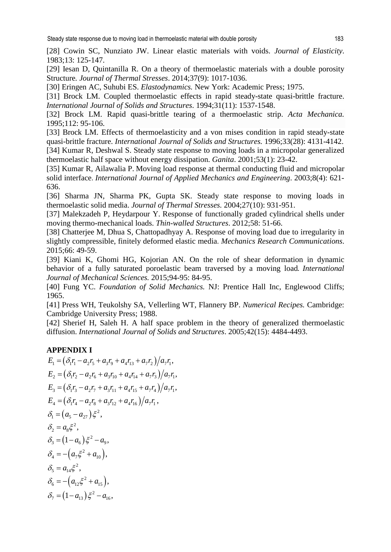[28] Cowin SC, Nunziato JW. Linear elastic materials with voids. *Journal of Elasticity*. 1983;13: 125-147.

[29] Iesan D, Quintanilla R. On a theory of thermoelastic materials with a double porosity Structure*. Journal of Thermal Stresses*. 2014;37(9): 1017-1036.

[30] Eringen AC, Suhubi ES. *Elastodynamics.* New York: Academic Press; 1975.

[31] Brock LM. Coupled thermoelastic effects in rapid steady-state quasi-brittle fracture. *International Journal of Solids and Structures*. 1994;31(11): 1537-1548.

[32] Brock LM. Rapid quasi-brittle tearing of a thermoelastic strip. *[Acta Mechanica.](https://link.springer.com/journal/707)*  1995;112: 95-106.

[33] Brock LM. Effects of thermoelasticity and a von mises condition in rapid steady-state quasi-brittle fracture. *International Journal of Solids and Structures.* 1996;33(28): 4131-4142.

[34] Kumar R, Deshwal S. Steady state response to moving loads in a micropolar generalized thermoelastic half space without energy dissipation. *Ganita*. 2001;53(1): 23-42.

[35] Kumar R, Ailawalia P. Moving load response at thermal conducting fluid and micropolar solid interface. *International Journal of Applied Mechanics and Engineering*. 2003;8(4): 621- 636.

[36] [Sharma](https://www.tandfonline.com/author/Sharma%2C+J+N) JN, [Sharma](https://www.tandfonline.com/author/Sharma%2C+P+K) PK[, Gupta](https://www.tandfonline.com/author/Gupta%2C+S+K) SK. Steady state response to moving loads in thermoelastic solid media. *Journal of Thermal Stresses.* 2004;27(10): 931-951.

[37] Malekzadeh P, Heydarpour Y. Response of functionally graded cylindrical shells under moving thermo-mechanical loads. *Thin-walled Structures*. 2012;58: 51-66.

[38] Chatterjee M, Dhua S, Chattopadhyay A. Response of moving load due to irregularity in slightly compressible, finitely deformed elastic media. *Mechanics Research Communications*. 2015;66: 49-59.

[39] Kiani K, Ghomi HG, Kojorian AN. On the role of shear deformation in dynamic behavior of a fully saturated poroelastic beam traversed by a moving load. *[International](http://www.sciencedirect.com/science/journal/00207403)  [Journal of Mechanical Sci](http://www.sciencedirect.com/science/journal/00207403)ences.* 2015[;94-95:](http://www.sciencedirect.com/science/journal/00207403/94/supp/C) 84-95.

[40] Fung YC. *Foundation of Solid Mechanics.* NJ: Prentice Hall Inc, Englewood Cliffs; 1965.

[41] Press WH, Teukolshy SA, Vellerling WT, Flannery BP. *Numerical Recipes.* Cambridge: Cambridge University Press; 1988.

[42] Sherief H, Saleh H. A half space problem in the theory of generalized thermoelastic diffusion. *International Journal of Solids and Structures*. 2005;42(15): 4484-4493.

# **APPENDIX I**

$$
E_1 = (\delta_1 r_1 - a_2 r_5 + a_3 r_9 + a_4 r_{13} + a_7 r_2)/a_7 r_1,
$$
  
\n
$$
E_2 = (\delta_1 r_2 - a_2 r_6 + a_3 r_{10} + a_4 r_{14} + a_7 r_3)/a_7 r_1,
$$
  
\n
$$
E_3 = (\delta_1 r_3 - a_2 r_7 + a_3 r_{11} + a_4 r_{15} + a_7 r_4)/a_7 r_1,
$$
  
\n
$$
E_4 = (\delta_1 r_4 - a_2 r_8 + a_3 r_{12} + a_4 r_{16})/a_7 r_1,
$$
  
\n
$$
\delta_1 = (a_5 - a_{27}) \xi^2,
$$
  
\n
$$
\delta_2 = a_8 \xi^2,
$$
  
\n
$$
\delta_3 = (1 - a_6) \xi^2 - a_9,
$$
  
\n
$$
\delta_4 = -(a_7 \xi^2 + a_{10}),
$$
  
\n
$$
\delta_5 = a_{14} \xi^2,
$$
  
\n
$$
\delta_6 = -(a_{12} \xi^2 + a_{15}),
$$
  
\n
$$
\delta_7 = (1 - a_{13}) \xi^2 - a_{16},
$$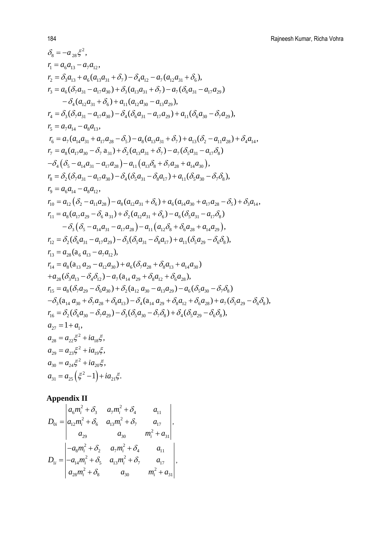$$
\delta_{8} = -a_{28} \xi^{2},
$$
\n
$$
r_{1} = a_{6} a_{13} - a_{7} a_{12},
$$
\n
$$
r_{2} = \delta_{3} a_{13} + a_{6} (a_{13} a_{31} + \delta_{7}) - \delta_{4} a_{12} - a_{7} (a_{12} a_{31} + \delta_{6}),
$$
\n
$$
r_{3} = a_{6} (\delta_{7} a_{31} - a_{17} a_{30}) + \delta_{3} (a_{13} a_{31} + \delta_{7}) - a_{7} (\delta_{6} a_{31} - a_{17} a_{29})
$$
\n
$$
- \delta_{4} (a_{12} a_{31} + \delta_{6}) + a_{11} (a_{12} a_{30} - a_{13} a_{29}),
$$
\n
$$
r_{4} = \delta_{3} (\delta_{7} a_{31} - a_{17} a_{30}) - \delta_{4} (\delta_{6} a_{31} - a_{17} a_{29}) + a_{11} (\delta_{6} a_{30} - \delta_{7} a_{29}),
$$
\n
$$
r_{5} = a_{7} a_{14} - a_{8} a_{13},
$$
\n
$$
r_{6} = a_{7} (a_{14} a_{31} + a_{17} a_{28} - \delta_{5}) - a_{8} (a_{13} a_{31} + \delta_{7}) + a_{13} (\delta_{2} - a_{11} a_{28}) + \delta_{4} a_{14},
$$
\n
$$
r_{7} = a_{8} (a_{17} a_{30} - \delta_{7} a_{31}) + \delta_{2} (a_{13} a_{31} + \delta_{7}) - a_{7} (\delta_{5} a_{31} - a_{17} \delta_{8})
$$
\n
$$
-\delta_{4} (\delta_{5} - a_{14} a_{31} - a_{17} a_{28}) - a_{11} (a_{13} \delta_{8} + \delta_{7} a_{28} + a_{14} a_{30}),
$$
\n
$$
r_{8} = \delta_{2} (\delta_{7} a_{31} - a_{17} a_{30}) - \delta_{4} (\delta_{5} a_{31} - \delta_{8} a_{17}) + a_{11} (\delta_{
$$

# **Appendix II**

$$
D_{0i} = \begin{vmatrix} a_6m_i^2 + \delta_3 & a_7m_i^2 + \delta_4 & a_{11} \\ a_{12}m_i^2 + \delta_6 & a_{13}m_i^2 + \delta_7 & a_{17} \\ a_{29} & a_{30} & m_i^2 + a_{31} \end{vmatrix},
$$
  
\n
$$
D_{1i} = \begin{vmatrix} -a_8m_i^2 + \delta_2 & a_7m_i^2 + \delta_4 & a_{11} \\ -a_{14}m_i^2 + \delta_5 & a_{13}m_i^2 + \delta_7 & a_{17} \\ a_{28}m_i^2 + \delta_8 & a_{30} & m_i^2 + a_{31} \end{vmatrix},
$$